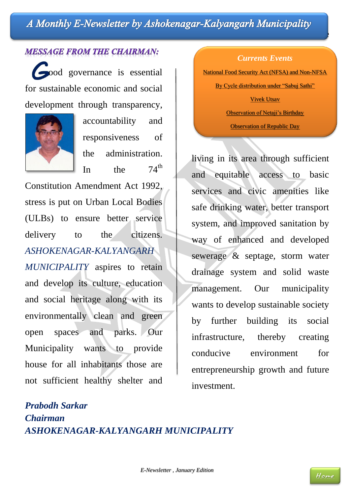### <span id="page-0-0"></span>A Monthly E-Newsletter by Ashokenagar-Kalyangarh Municipality healthy life style to all the people

#### **MESSAGE FROM THE CHAIRMAN:**

 ood governance is essential for sustainable economic and social development through transparency,



accountability and responsiveness of the administration. In the  $74^{\text{th}}$ 

Constitution Amendment Act 1992, stress is put on Urban Local Bodies (ULBs) to ensure better service delivery to the citizens. *ASHOKENAGAR-KALYANGARH MUNICIPALITY* aspires to retain and develop its culture, education and social heritage along with its environmentally clean and green open spaces and parks. Our Municipality wants to provide house for all inhabitants those are not sufficient healthy shelter and

#### *Currents Events*

[National Food Security Act \(NFSA\) and Non-NFSA](#page-1-0)

[By Cycle distribution under "Sabuj Sathi"](#page-2-0)

[Vivek Utsav](#page-2-1)

[Observation of Netaji's Birthday](#page-2-2)

[Observation of Republic Day](#page-2-3)

living in its area through sufficient and equitable access to basic services and civic amenities like safe drinking water, better transport system, and improved sanitation by way of enhanced and developed sewerage & septage, storm water drainage system and solid waste management. Our municipality wants to develop sustainable society by further building its social infrastructure, thereby creating conducive environment for entrepreneurship growth and future investment.

## *Prabodh Sarkar Chairman ASHOKENAGAR-KALYANGARH MUNICIPALITY*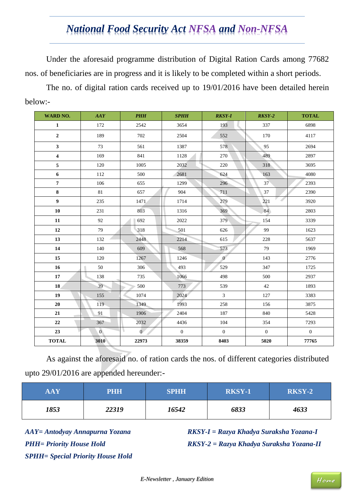## *National Food Security Act NFSA and Non-NFSA*

<span id="page-1-0"></span>Under the aforesaid programme distribution of Digital Ration Cards among 77682 nos. of beneficiaries are in progress and it is likely to be completed within a short periods.

The no. of digital ration cards received up to 19/01/2016 have been detailed herein below:-

| <b>WARD NO.</b>         | AAY            | PHH            | SPHH           | <b>RKSY-I</b>  | $RKSY-2$     | <b>TOTAL</b> |
|-------------------------|----------------|----------------|----------------|----------------|--------------|--------------|
| $\mathbf 1$             | 172            | 2542           | 3654           | 193            | 337          | 6898         |
| $\boldsymbol{2}$        | 189            | 702            | 2504           | 552            | 170          | 4117         |
| $\mathbf{3}$            | 73             | 561            | 1387           | 578            | 95           | 2694         |
| $\overline{\mathbf{4}}$ | 169            | 841            | 1128           | 270            | 489          | 2897         |
| 5                       | 120            | 1005           | 2032           | 220            | 318          | 3695         |
| $\boldsymbol{6}$        | 112            | 500            | 2681           | 624            | 163          | 4080         |
| $\overline{\bf 7}$      | 106            | 655            | 1299           | 296            | 37           | 2393         |
| $\bf 8$                 | 81             | 657            | 904            | 711            | 37           | 2390         |
| $\boldsymbol{9}$        | 235            | 1471           | 1714           | 279            | 221          | 3920         |
| ${\bf 10}$              | 231            | 803            | 1316           | 369            | 84           | 2803         |
| ${\bf 11}$              | 92             | 692            | 2022           | 379            | 154          | 3339         |
| $\bf 12$                | 79             | 318            | 501            | 626            | 99           | 1623         |
| 13                      | 132            | 2448           | 2214           | 615            | 228          | 5637         |
| ${\bf 14}$              | 140            | 609            | 568            | 573            | 79           | 1969         |
| $15\,$                  | 120            | 1267           | 1246           | $\sigma$       | 143          | 2776         |
| $16\phantom{.}$         | 50             | 306            | 493            | 529            | 347          | 1725         |
| $17\,$                  | 138            | 735            | 1066           | 498            | 500          | 2937         |
| 18                      | 39             | 500            | 773            | 539            | $42\,$       | 1893         |
| 19                      | 155            | 1074           | 2024           | $\overline{3}$ | 127          | 3383         |
| 20                      | 119            | 1349           | 1993           | 258            | 156          | 3875         |
| 21                      | 91             | 1906           | 2404           | 187            | 840          | 5428         |
| $22\,$                  | 367            | 2032           | 4436           | 104            | 354          | 7293         |
| 23                      | $\overline{0}$ | $\overline{0}$ | $\overline{0}$ | $\overline{0}$ | $\mathbf{0}$ | $\mathbf{0}$ |
| <b>TOTAL</b>            | 3010           | 22973          | 38359          | 8403           | 5020         | 77765        |

As against the aforesaid no. of ration cards the nos. of different categories distributed upto 29/01/2016 are appended hereunder:-

| $\mathbf{AAY}$ | <b>PHH</b> | <b>SPHH</b> | <b>RKSY-1</b> | <b>RKSY-2</b> |
|----------------|------------|-------------|---------------|---------------|
| 1853           | 22319      | 16542       | 6833          | 4633          |

*AAY= Antodyay Annapurna Yozana PHH= Priority House Hold SPHH= Special Priority House Hold* *RKSY-I = Razya Khadya Suraksha Yozana-I RKSY-2 = Razya Khadya Suraksha Yozana-II*